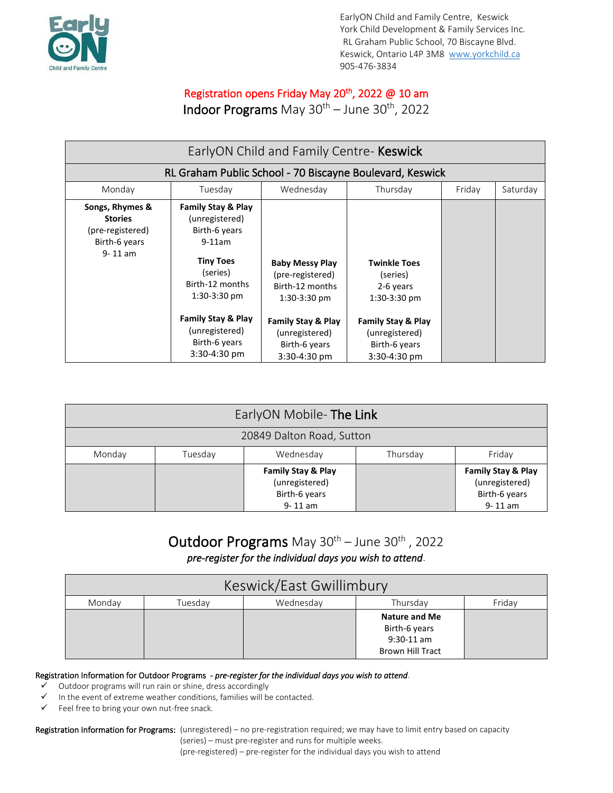

## Registration opens Friday May 20<sup>th</sup>, 2022 @ 10 am Indoor Programs May 30<sup>th</sup> – June 30<sup>th</sup>, 2022

| EarlyON Child and Family Centre- Keswick                                              |                                                                                                                                                  |                                                                               |                                                                                  |        |          |
|---------------------------------------------------------------------------------------|--------------------------------------------------------------------------------------------------------------------------------------------------|-------------------------------------------------------------------------------|----------------------------------------------------------------------------------|--------|----------|
| RL Graham Public School - 70 Biscayne Boulevard, Keswick                              |                                                                                                                                                  |                                                                               |                                                                                  |        |          |
| Monday                                                                                | Tuesday                                                                                                                                          | Wednesday                                                                     | Thursday                                                                         | Friday | Saturday |
| Songs, Rhymes &<br><b>Stories</b><br>(pre-registered)<br>Birth-6 years<br>$9 - 11$ am | <b>Family Stay &amp; Play</b><br>(unregistered)<br>Birth-6 years<br>$9-11$ am<br><b>Tiny Toes</b><br>(series)<br>Birth-12 months<br>1:30-3:30 pm | <b>Baby Messy Play</b><br>(pre-registered)<br>Birth-12 months<br>1:30-3:30 pm | <b>Twinkle Toes</b><br>(series)<br>2-6 years<br>1:30-3:30 pm                     |        |          |
|                                                                                       | <b>Family Stay &amp; Play</b><br>(unregistered)<br>Birth-6 years<br>3:30-4:30 pm                                                                 | Family Stay & Play<br>(unregistered)<br>Birth-6 years<br>3:30-4:30 pm         | <b>Family Stay &amp; Play</b><br>(unregistered)<br>Birth-6 years<br>3:30-4:30 pm |        |          |

| EarlyON Mobile- The Link  |         |                                                                                 |          |                                                                      |  |
|---------------------------|---------|---------------------------------------------------------------------------------|----------|----------------------------------------------------------------------|--|
| 20849 Dalton Road, Sutton |         |                                                                                 |          |                                                                      |  |
| Monday                    | Tuesday | Wednesday                                                                       | Thursday | Friday                                                               |  |
|                           |         | <b>Family Stay &amp; Play</b><br>(unregistered)<br>Birth-6 years<br>$9 - 11$ am |          | Family Stay & Play<br>(unregistered)<br>Birth-6 years<br>$9 - 11$ am |  |

Outdoor Programs May  $30^{th}$  – June  $30^{th}$ , 2022 *pre-register for the individual days you wish to attend*.

| Keswick/East Gwillimbury |         |           |                                         |        |  |
|--------------------------|---------|-----------|-----------------------------------------|--------|--|
| Monday                   | Tuesdav | Wednesday | Thursday                                | Fridav |  |
|                          |         |           | <b>Nature and Me</b>                    |        |  |
|                          |         |           | Birth-6 years                           |        |  |
|                          |         |           | $9:30-11$ am<br><b>Brown Hill Tract</b> |        |  |
|                          |         |           |                                         |        |  |

#### Registration Information for Outdoor Programs - *pre-register for the individual days you wish to attend*.

- Outdoor programs will run rain or shine, dress accordingly
- ✓ In the event of extreme weather conditions, families will be contacted.
- $\checkmark$  Feel free to bring your own nut-free snack.

Registration Information for Programs: (unregistered) – no pre-registration required; we may have to limit entry based on capacity

(series) – must pre-register and runs for multiple weeks.

(pre-registered) – pre-register for the individual days you wish to attend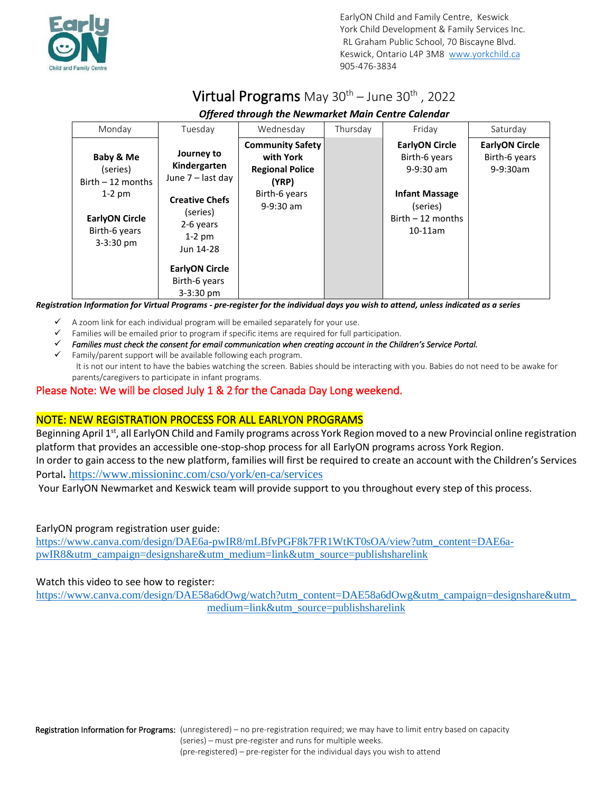

# Virtual Programs May  $30^{th}$  – June  $30^{th}$ , 2022

#### *Offered through the Newmarket Main Centre Calendar*

| Monday                                                                                                            | Tuesday                                                                                                                                                                               | Wednesday                                                                                               | Thursday | Friday                                                                                                                          | Saturday                                           |
|-------------------------------------------------------------------------------------------------------------------|---------------------------------------------------------------------------------------------------------------------------------------------------------------------------------------|---------------------------------------------------------------------------------------------------------|----------|---------------------------------------------------------------------------------------------------------------------------------|----------------------------------------------------|
| Baby & Me<br>(series)<br>$Birth - 12$ months<br>$1-2$ pm<br><b>EarlyON Circle</b><br>Birth-6 years<br>$3-3:30$ pm | Journey to<br>Kindergarten<br>June 7 - last day<br><b>Creative Chefs</b><br>(series)<br>2-6 years<br>$1-2$ pm<br>Jun 14-28<br><b>EarlyON Circle</b><br>Birth-6 years<br>$3 - 3:30$ pm | <b>Community Safety</b><br>with York<br><b>Regional Police</b><br>(YRP)<br>Birth-6 years<br>$9-9:30$ am |          | <b>EarlyON Circle</b><br>Birth-6 years<br>$9-9:30$ am<br><b>Infant Massage</b><br>(series)<br>$Birth - 12$ months<br>$10-11$ am | <b>EarlyON Circle</b><br>Birth-6 years<br>9-9:30am |

*Registration Information for Virtual Programs - pre-register for the individual days you wish to attend, unless indicated as a series*

- A zoom link for each individual program will be emailed separately for your use.
- Families will be emailed prior to program if specific items are required for full participation.
- ✓ *Families must check the consent for email communication when creating account in the Children's Service Portal.*
- ✓ Family/parent support will be available following each program. It is not our intent to have the babies watching the screen. Babies should be interacting with you. Babies do not need to be awake for parents/caregivers to participate in infant programs.

### Please Note: We will be closed July 1 & 2 for the Canada Day Long weekend.

### NOTE: NEW REGISTRATION PROCESS FOR ALL EARLYON PROGRAMS

Beginning April 1<sup>st</sup>, all EarlyON Child and Family programs across York Region moved to a new Provincial online registration platform that provides an accessible one-stop-shop process for all EarlyON programs across York Region.

In order to gain access to the new platform, families will first be required to create an account with the Children's Services Portal**.** <https://www.missioninc.com/cso/york/en-ca/services>

Your EarlyON Newmarket and Keswick team will provide support to you throughout every step of this process.

EarlyON program registration user guide:

[https://www.canva.com/design/DAE6a-pwIR8/mLBfvPGF8k7FR1WtKT0sOA/view?utm\\_content=DAE6a](https://can01.safelinks.protection.outlook.com/?url=https%3A%2F%2Fwww.canva.com%2Fdesign%2FDAE6a-pwIR8%2FmLBfvPGF8k7FR1WtKT0sOA%2Fview%3Futm_content%3DDAE6a-pwIR8%26utm_campaign%3Ddesignshare%26utm_medium%3Dlink%26utm_source%3Dpublishsharelink&data=04%7C01%7Clchapman%40yorkchild.ca%7Cc2e0b60f63ad43b9aa6508da0cfbf864%7C4b36106cea324aba99c1f8ef65aa3af8%7C0%7C0%7C637836573786361761%7CUnknown%7CTWFpbGZsb3d8eyJWIjoiMC4wLjAwMDAiLCJQIjoiV2luMzIiLCJBTiI6Ik1haWwiLCJXVCI6Mn0%3D%7C3000&sdata=N661V87aIvEre5Ftuy4sUllwQezcT2oppMeQc%2Fo6244%3D&reserved=0)[pwIR8&utm\\_campaign=designshare&utm\\_medium=link&utm\\_source=publishsharelink](https://can01.safelinks.protection.outlook.com/?url=https%3A%2F%2Fwww.canva.com%2Fdesign%2FDAE6a-pwIR8%2FmLBfvPGF8k7FR1WtKT0sOA%2Fview%3Futm_content%3DDAE6a-pwIR8%26utm_campaign%3Ddesignshare%26utm_medium%3Dlink%26utm_source%3Dpublishsharelink&data=04%7C01%7Clchapman%40yorkchild.ca%7Cc2e0b60f63ad43b9aa6508da0cfbf864%7C4b36106cea324aba99c1f8ef65aa3af8%7C0%7C0%7C637836573786361761%7CUnknown%7CTWFpbGZsb3d8eyJWIjoiMC4wLjAwMDAiLCJQIjoiV2luMzIiLCJBTiI6Ik1haWwiLCJXVCI6Mn0%3D%7C3000&sdata=N661V87aIvEre5Ftuy4sUllwQezcT2oppMeQc%2Fo6244%3D&reserved=0)

#### Watch this video to see how to register:

[https://www.canva.com/design/DAE58a6dOwg/watch?utm\\_content=DAE58a6dOwg&utm\\_campaign=designshare&utm\\_](https://can01.safelinks.protection.outlook.com/?url=https%3A%2F%2Fwww.canva.com%2Fdesign%2FDAE58a6dOwg%2Fwatch%3Futm_content%3DDAE58a6dOwg%26utm_campaign%3Ddesignshare%26utm_medium%3Dlink%26utm_source%3Dpublishsharelink&data=04%7C01%7Clchapman%40yorkchild.ca%7Cc2e0b60f63ad43b9aa6508da0cfbf864%7C4b36106cea324aba99c1f8ef65aa3af8%7C0%7C0%7C637836573786361761%7CUnknown%7CTWFpbGZsb3d8eyJWIjoiMC4wLjAwMDAiLCJQIjoiV2luMzIiLCJBTiI6Ik1haWwiLCJXVCI6Mn0%3D%7C3000&sdata=E92uEvrFe7FAzongvZO1vC03VGMg3OY2yfTZXyKSGMI%3D&reserved=0) [medium=link&utm\\_source=publishsharelink](https://can01.safelinks.protection.outlook.com/?url=https%3A%2F%2Fwww.canva.com%2Fdesign%2FDAE58a6dOwg%2Fwatch%3Futm_content%3DDAE58a6dOwg%26utm_campaign%3Ddesignshare%26utm_medium%3Dlink%26utm_source%3Dpublishsharelink&data=04%7C01%7Clchapman%40yorkchild.ca%7Cc2e0b60f63ad43b9aa6508da0cfbf864%7C4b36106cea324aba99c1f8ef65aa3af8%7C0%7C0%7C637836573786361761%7CUnknown%7CTWFpbGZsb3d8eyJWIjoiMC4wLjAwMDAiLCJQIjoiV2luMzIiLCJBTiI6Ik1haWwiLCJXVCI6Mn0%3D%7C3000&sdata=E92uEvrFe7FAzongvZO1vC03VGMg3OY2yfTZXyKSGMI%3D&reserved=0)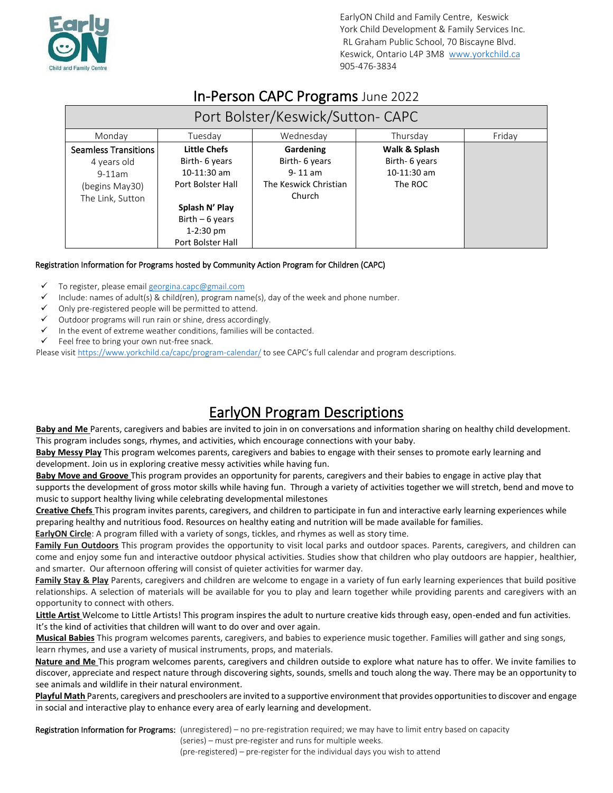

## In-Person CAPC Programs June 2022

| Port Bolster/Keswick/Sutton-CAPC                                                             |                                                                                                                                                       |                                                                               |                                                             |        |  |
|----------------------------------------------------------------------------------------------|-------------------------------------------------------------------------------------------------------------------------------------------------------|-------------------------------------------------------------------------------|-------------------------------------------------------------|--------|--|
| Monday                                                                                       | Tuesday                                                                                                                                               | Wednesday                                                                     | Thursday                                                    | Friday |  |
| <b>Seamless Transitions</b><br>4 years old<br>$9-11am$<br>(begins May30)<br>The Link, Sutton | <b>Little Chefs</b><br>Birth- 6 years<br>$10-11:30$ am<br>Port Bolster Hall<br>Splash N' Play<br>Birth $-6$ years<br>$1-2:30$ pm<br>Port Bolster Hall | Gardening<br>Birth- 6 years<br>$9 - 11$ am<br>The Keswick Christian<br>Church | Walk & Splash<br>Birth- 6 years<br>$10-11:30$ am<br>The ROC |        |  |

#### Registration Information for Programs hosted by Community Action Program for Children (CAPC)

- ✓ To register, please email georgina.capc@gmail.com
- $\checkmark$  Include: names of adult(s) & child(ren), program name(s), day of the week and phone number.
- ✓ Only pre-registered people will be permitted to attend.
- ✓ Outdoor programs will run rain or shine, dress accordingly.
- ✓ In the event of extreme weather conditions, families will be contacted.
- ✓ Feel free to bring your own nut-free snack.

Please visi[t https://www.yorkchild.ca/capc/program-calendar/](https://www.yorkchild.ca/capc/program-calendar/) to see CAPC's full calendar and program descriptions.

# EarlyON Program Descriptions

Baby and Me Parents, caregivers and babies are invited to join in on conversations and information sharing on healthy child development. This program includes songs, rhymes, and activities, which encourage connections with your baby.

**Baby Messy Play** This program welcomes parents, caregivers and babies to engage with their senses to promote early learning and development. Join us in exploring creative messy activities while having fun.

**Baby Move and Groove** This program provides an opportunity for parents, caregivers and their babies to engage in active play that supports the development of gross motor skills while having fun. Through a variety of activities together we will stretch, bend and move to music to support healthy living while celebrating developmental milestones

**Creative Chefs** This program invites parents, caregivers, and children to participate in fun and interactive early learning experiences while preparing healthy and nutritious food. Resources on healthy eating and nutrition will be made available for families.

**EarlyON Circle**: A program filled with a variety of songs, tickles, and rhymes as well as story time.

**Family Fun Outdoors** This program provides the opportunity to visit local parks and outdoor spaces. Parents, caregivers, and children can come and enjoy some fun and interactive outdoor physical activities. Studies show that children who play outdoors are happier, healthier, and smarter. Our afternoon offering will consist of quieter activities for warmer day.

Family Stay & Play Parents, caregivers and children are welcome to engage in a variety of fun early learning experiences that build positive relationships. A selection of materials will be available for you to play and learn together while providing parents and caregivers with an opportunity to connect with others.

**Little Artist** Welcome to Little Artists! This program inspires the adult to nurture creative kids through easy, open-ended and fun activities. It's the kind of activities that children will want to do over and over again.

**Musical Babies** This program welcomes parents, caregivers, and babies to experience music together. Families will gather and sing songs, learn rhymes, and use a variety of musical instruments, props, and materials.

**Nature and Me** This program welcomes parents, caregivers and children outside to explore what nature has to offer. We invite families to discover, appreciate and respect nature through discovering sights, sounds, smells and touch along the way. There may be an opportunity to see animals and wildlife in their natural environment.

**Playful Math** Parents, caregivers and preschoolers are invited to a supportive environment that provides opportunities to discover and engage in social and interactive play to enhance every area of early learning and development.

Registration Information for Programs: (unregistered) – no pre-registration required; we may have to limit entry based on capacity (series) – must pre-register and runs for multiple weeks. (pre-registered) – pre-register for the individual days you wish to attend